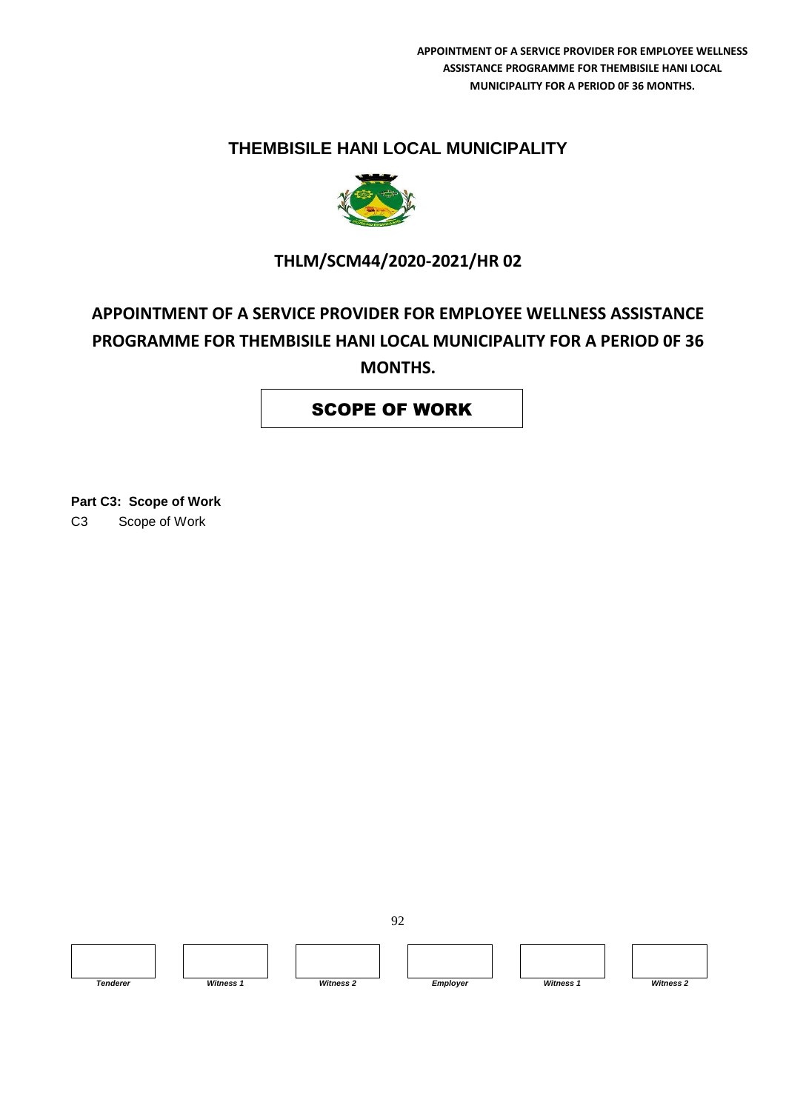# **THEMBISILE HANI LOCAL MUNICIPALITY**



# **THLM/SCM44/2020-2021/HR 02**

# **APPOINTMENT OF A SERVICE PROVIDER FOR EMPLOYEE WELLNESS ASSISTANCE PROGRAMME FOR THEMBISILE HANI LOCAL MUNICIPALITY FOR A PERIOD 0F 36 MONTHS.**

## SCOPE OF WORK

**Part C3: Scope of Work** C3 Scope of Work



92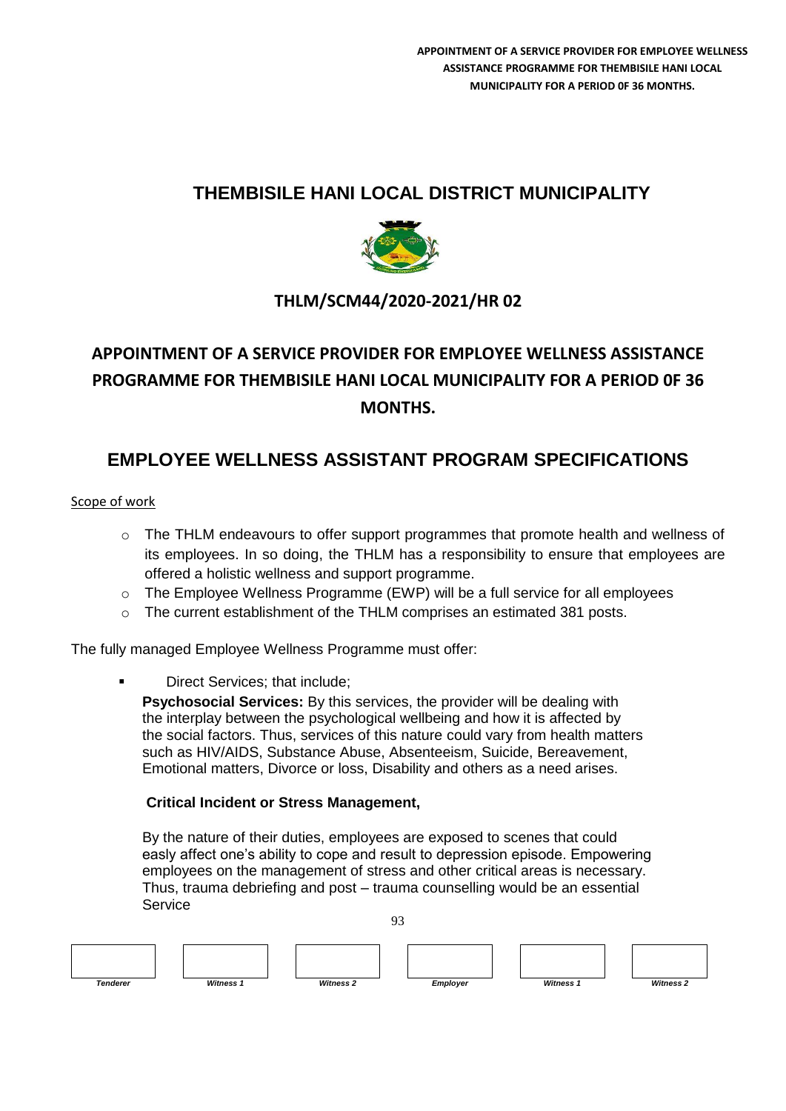# **THEMBISILE HANI LOCAL DISTRICT MUNICIPALITY**



# **THLM/SCM44/2020-2021/HR 02**

# **APPOINTMENT OF A SERVICE PROVIDER FOR EMPLOYEE WELLNESS ASSISTANCE PROGRAMME FOR THEMBISILE HANI LOCAL MUNICIPALITY FOR A PERIOD 0F 36 MONTHS.**

# **EMPLOYEE WELLNESS ASSISTANT PROGRAM SPECIFICATIONS**

## Scope of work

- o The THLM endeavours to offer support programmes that promote health and wellness of its employees. In so doing, the THLM has a responsibility to ensure that employees are offered a holistic wellness and support programme.
- $\circ$  The Employee Wellness Programme (EWP) will be a full service for all employees
- o The current establishment of the THLM comprises an estimated 381 posts.

The fully managed Employee Wellness Programme must offer:

Direct Services; that include;

**Psychosocial Services:** By this services, the provider will be dealing with the interplay between the psychological wellbeing and how it is affected by the social factors. Thus, services of this nature could vary from health matters such as HIV/AIDS, Substance Abuse, Absenteeism, Suicide, Bereavement, Emotional matters, Divorce or loss, Disability and others as a need arises.

## **Critical Incident or Stress Management,**

By the nature of their duties, employees are exposed to scenes that could easly affect one's ability to cope and result to depression episode. Empowering employees on the management of stress and other critical areas is necessary. Thus, trauma debriefing and post – trauma counselling would be an essential **Service** 

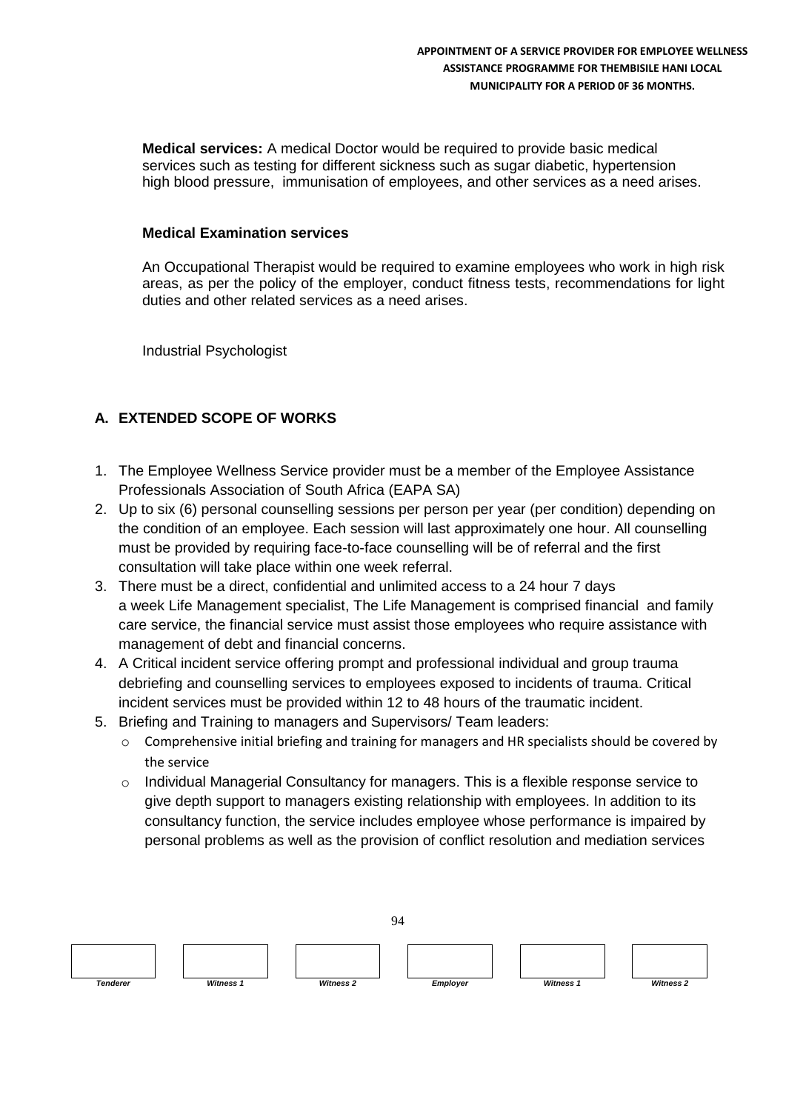**Medical services:** A medical Doctor would be required to provide basic medical services such as testing for different sickness such as sugar diabetic, hypertension high blood pressure, immunisation of employees, and other services as a need arises.

## **Medical Examination services**

An Occupational Therapist would be required to examine employees who work in high risk areas, as per the policy of the employer, conduct fitness tests, recommendations for light duties and other related services as a need arises.

Industrial Psychologist

## **A. EXTENDED SCOPE OF WORKS**

- 1. The Employee Wellness Service provider must be a member of the Employee Assistance Professionals Association of South Africa (EAPA SA)
- 2. Up to six (6) personal counselling sessions per person per year (per condition) depending on the condition of an employee. Each session will last approximately one hour. All counselling must be provided by requiring face-to-face counselling will be of referral and the first consultation will take place within one week referral.
- 3. There must be a direct, confidential and unlimited access to a 24 hour 7 days a week Life Management specialist, The Life Management is comprised financial and family care service, the financial service must assist those employees who require assistance with management of debt and financial concerns.
- 4. A Critical incident service offering prompt and professional individual and group trauma debriefing and counselling services to employees exposed to incidents of trauma. Critical incident services must be provided within 12 to 48 hours of the traumatic incident.
- 5. Briefing and Training to managers and Supervisors/ Team leaders:
	- $\circ$  Comprehensive initial briefing and training for managers and HR specialists should be covered by the service
	- $\circ$  Individual Managerial Consultancy for managers. This is a flexible response service to give depth support to managers existing relationship with employees. In addition to its consultancy function, the service includes employee whose performance is impaired by personal problems as well as the provision of conflict resolution and mediation services

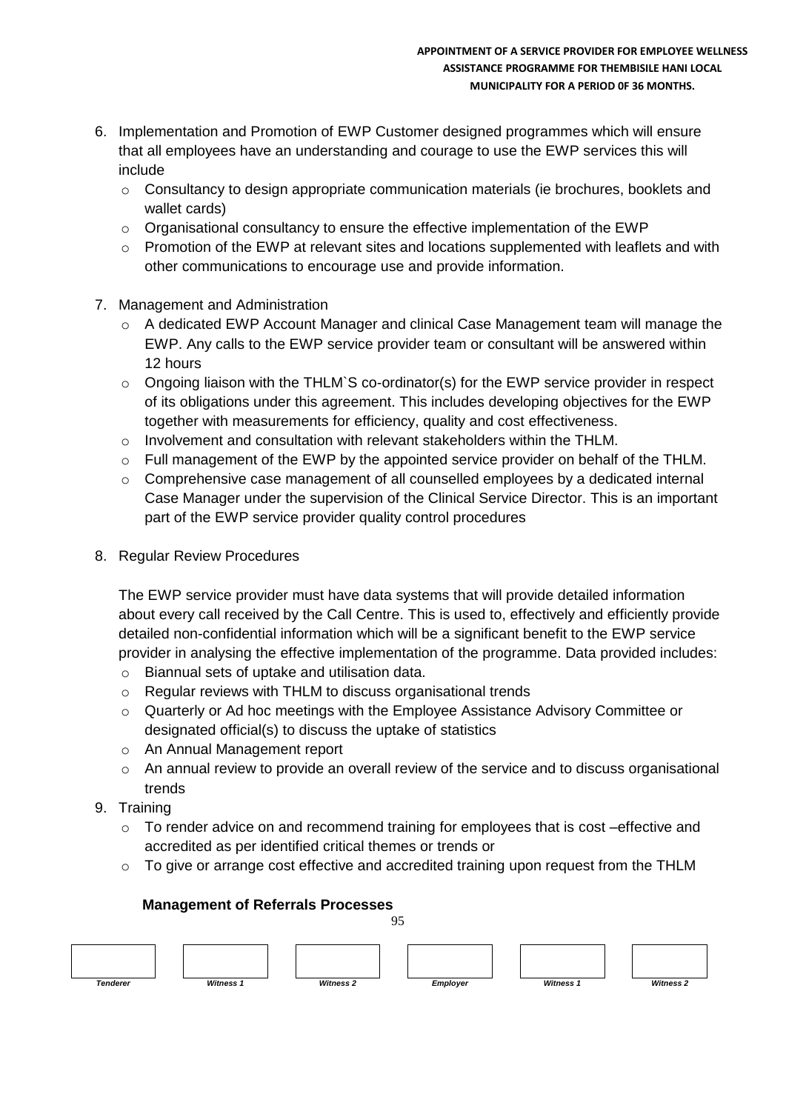- 6. Implementation and Promotion of EWP Customer designed programmes which will ensure that all employees have an understanding and courage to use the EWP services this will include
	- $\circ$  Consultancy to design appropriate communication materials (ie brochures, booklets and wallet cards)
	- $\circ$  Organisational consultancy to ensure the effective implementation of the EWP
	- $\circ$  Promotion of the EWP at relevant sites and locations supplemented with leaflets and with other communications to encourage use and provide information.
- 7. Management and Administration
	- o A dedicated EWP Account Manager and clinical Case Management team will manage the EWP. Any calls to the EWP service provider team or consultant will be answered within 12 hours
	- $\circ$  Ongoing liaison with the THLM`S co-ordinator(s) for the EWP service provider in respect of its obligations under this agreement. This includes developing objectives for the EWP together with measurements for efficiency, quality and cost effectiveness.
	- $\circ$  Involvement and consultation with relevant stakeholders within the THLM.
	- $\circ$  Full management of the EWP by the appointed service provider on behalf of the THLM.
	- $\circ$  Comprehensive case management of all counselled employees by a dedicated internal Case Manager under the supervision of the Clinical Service Director. This is an important part of the EWP service provider quality control procedures
- 8. Regular Review Procedures

The EWP service provider must have data systems that will provide detailed information about every call received by the Call Centre. This is used to, effectively and efficiently provide detailed non-confidential information which will be a significant benefit to the EWP service provider in analysing the effective implementation of the programme. Data provided includes:

- o Biannual sets of uptake and utilisation data.
- o Regular reviews with THLM to discuss organisational trends
- o Quarterly or Ad hoc meetings with the Employee Assistance Advisory Committee or designated official(s) to discuss the uptake of statistics
- o An Annual Management report
- o An annual review to provide an overall review of the service and to discuss organisational trends
- 9. Training
	- $\circ$  To render advice on and recommend training for employees that is cost –effective and accredited as per identified critical themes or trends or
	- $\circ$  To give or arrange cost effective and accredited training upon request from the THLM



## **Management of Referrals Processes**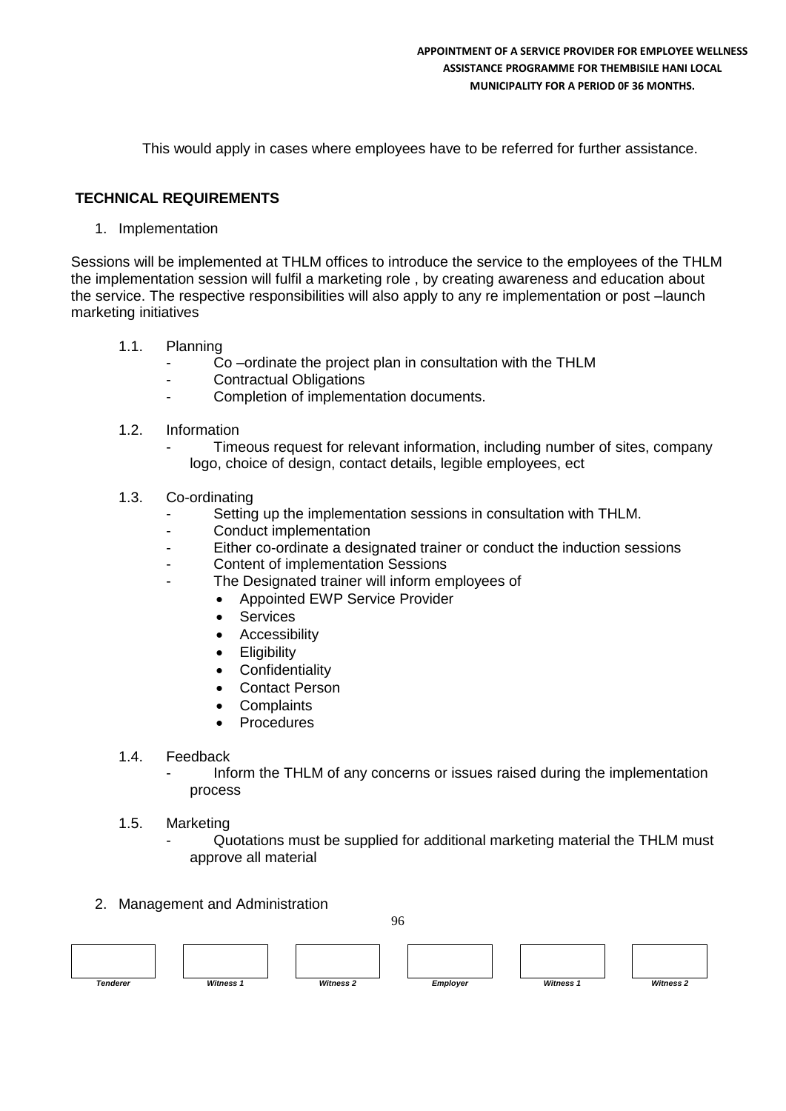This would apply in cases where employees have to be referred for further assistance.

## **TECHNICAL REQUIREMENTS**

1. Implementation

Sessions will be implemented at THLM offices to introduce the service to the employees of the THLM the implementation session will fulfil a marketing role , by creating awareness and education about the service. The respective responsibilities will also apply to any re implementation or post –launch marketing initiatives

- 1.1. Planning
	- Co-ordinate the project plan in consultation with the THLM
	- Contractual Obligations
	- Completion of implementation documents.
- 1.2. Information
	- Timeous request for relevant information, including number of sites, company logo, choice of design, contact details, legible employees, ect
- 1.3. Co-ordinating
	- Setting up the implementation sessions in consultation with THLM.
	- Conduct implementation
	- Either co-ordinate a designated trainer or conduct the induction sessions
	- Content of implementation Sessions
	- The Designated trainer will inform employees of
		- Appointed EWP Service Provider
		- Services
		- Accessibility
		- **Eligibility**
		- **Confidentiality**
		- Contact Person
		- **Complaints**
		- Procedures
- 1.4. Feedback
	- Inform the THLM of any concerns or issues raised during the implementation process
- 1.5. Marketing
	- Quotations must be supplied for additional marketing material the THLM must approve all material
- 2. Management and Administration

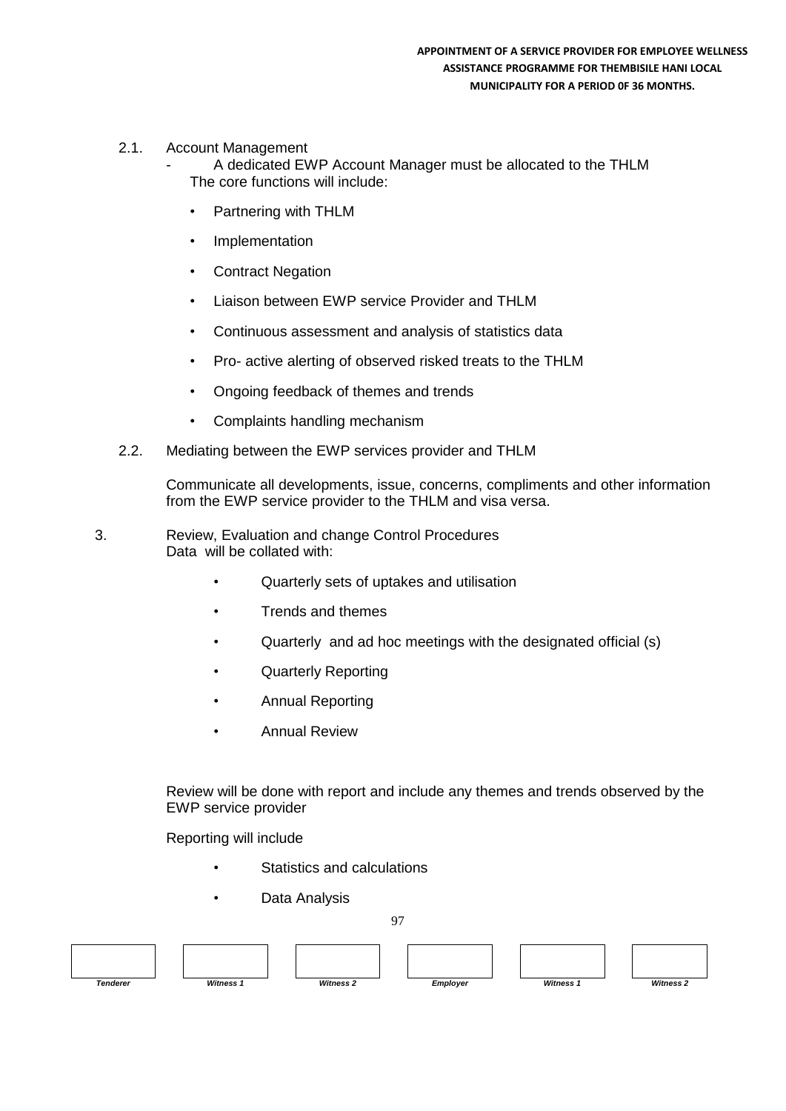- 2.1. Account Management
	- A dedicated EWP Account Manager must be allocated to the THLM The core functions will include:
	- Partnering with THLM
	- **Implementation**
	- **Contract Negation**
	- Liaison between EWP service Provider and THLM
	- Continuous assessment and analysis of statistics data
	- Pro- active alerting of observed risked treats to the THLM
	- Ongoing feedback of themes and trends
	- Complaints handling mechanism
- 2.2. Mediating between the EWP services provider and THLM

Communicate all developments, issue, concerns, compliments and other information from the EWP service provider to the THLM and visa versa.

- 3. Review, Evaluation and change Control Procedures Data will be collated with:
	- Quarterly sets of uptakes and utilisation
	- Trends and themes
	- Quarterly and ad hoc meetings with the designated official (s)
	- Quarterly Reporting
	- Annual Reporting
	- Annual Review

Review will be done with report and include any themes and trends observed by the EWP service provider

Reporting will include

- Statistics and calculations
- Data Analysis

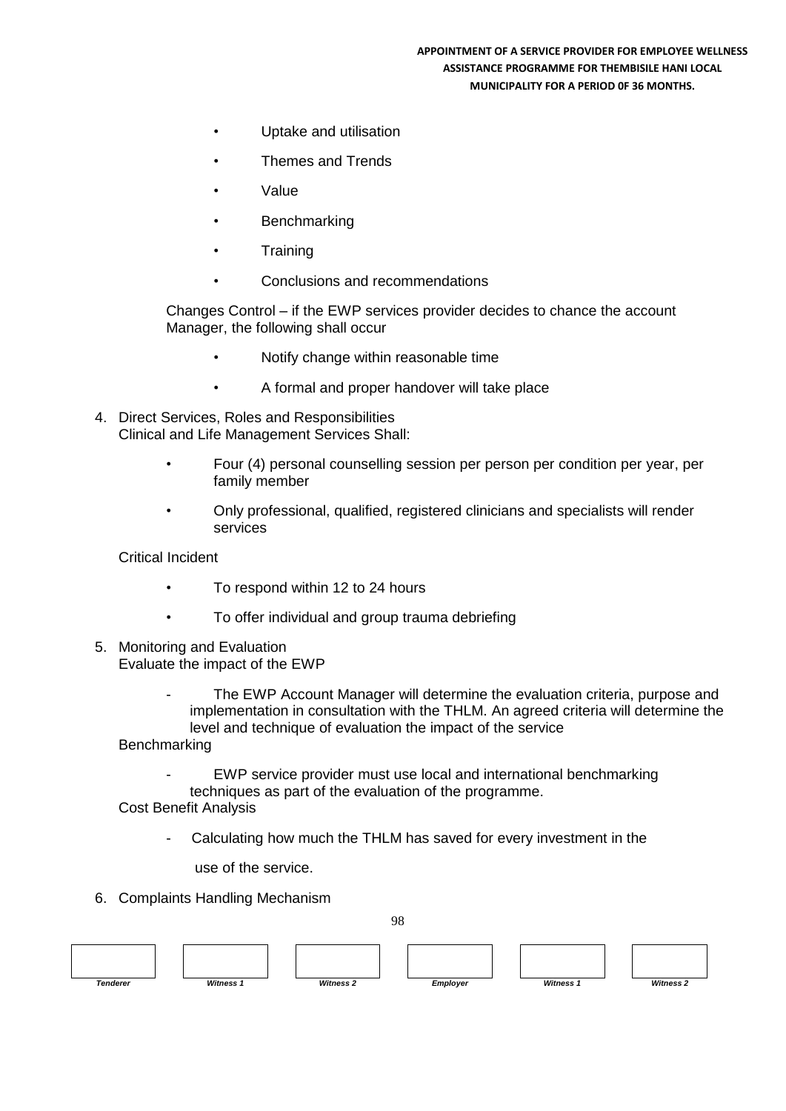#### **APPOINTMENT OF A SERVICE PROVIDER FOR EMPLOYEE WELLNESS ASSISTANCE PROGRAMME FOR THEMBISILE HANI LOCAL MUNICIPALITY FOR A PERIOD 0F 36 MONTHS.**

- Uptake and utilisation
- Themes and Trends
- Value
- **Benchmarking**
- **Training**
- Conclusions and recommendations

Changes Control – if the EWP services provider decides to chance the account Manager, the following shall occur

- Notify change within reasonable time
- A formal and proper handover will take place
- 4. Direct Services, Roles and Responsibilities Clinical and Life Management Services Shall:
	- Four (4) personal counselling session per person per condition per year, per family member
	- Only professional, qualified, registered clinicians and specialists will render services

Critical Incident

- To respond within 12 to 24 hours
- To offer individual and group trauma debriefing
- 5. Monitoring and Evaluation Evaluate the impact of the EWP
	- The EWP Account Manager will determine the evaluation criteria, purpose and implementation in consultation with the THLM. An agreed criteria will determine the level and technique of evaluation the impact of the service

**Benchmarking** 

EWP service provider must use local and international benchmarking techniques as part of the evaluation of the programme.

Cost Benefit Analysis

Calculating how much the THLM has saved for every investment in the

use of the service.

6. Complaints Handling Mechanism

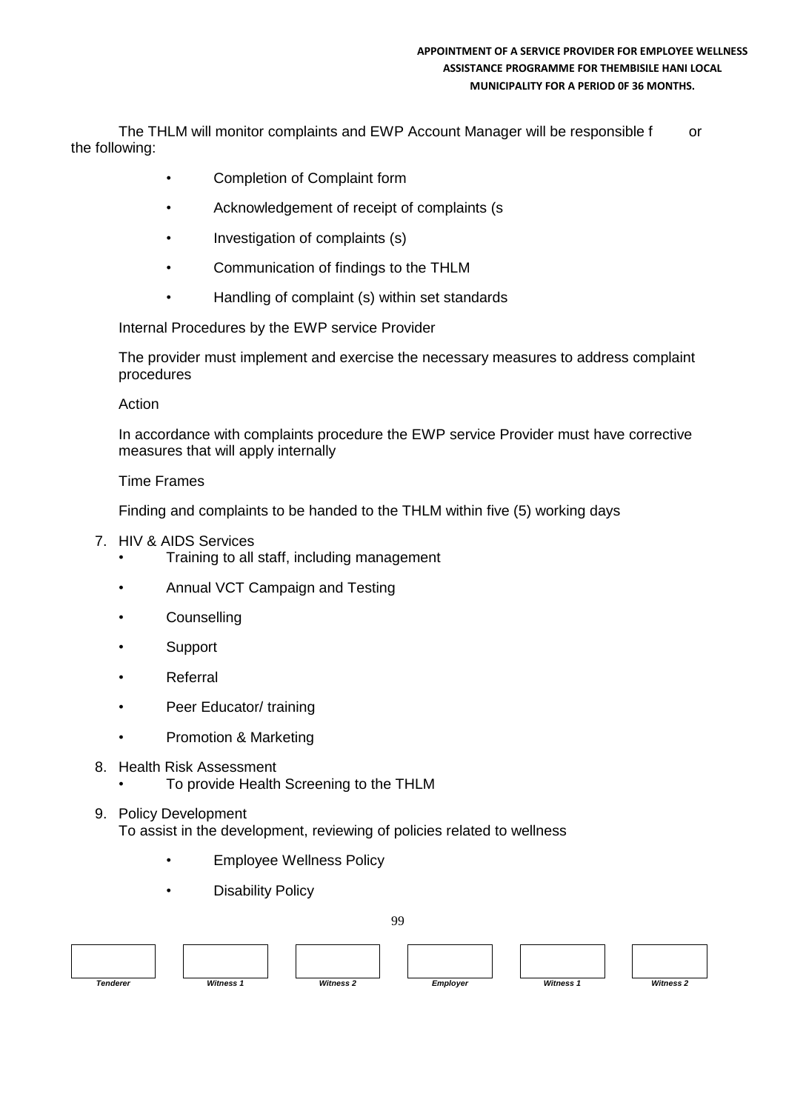#### **APPOINTMENT OF A SERVICE PROVIDER FOR EMPLOYEE WELLNESS ASSISTANCE PROGRAMME FOR THEMBISILE HANI LOCAL MUNICIPALITY FOR A PERIOD 0F 36 MONTHS.**

The THLM will monitor complaints and EWP Account Manager will be responsible f or the following:

- Completion of Complaint form
- Acknowledgement of receipt of complaints (s
- Investigation of complaints (s)
- Communication of findings to the THLM
- Handling of complaint (s) within set standards

Internal Procedures by the EWP service Provider

The provider must implement and exercise the necessary measures to address complaint procedures

Action

In accordance with complaints procedure the EWP service Provider must have corrective measures that will apply internally

### Time Frames

Finding and complaints to be handed to the THLM within five (5) working days

- 7. HIV & AIDS Services
	- Training to all staff, including management
	- Annual VCT Campaign and Testing
	- Counselling
	- Support
	- Referral
	- Peer Educator/ training
	- Promotion & Marketing
- 8. Health Risk Assessment
	- To provide Health Screening to the THLM
- 9. Policy Development To assist in the development, reviewing of policies related to wellness
	- Employee Wellness Policy
	- **Disability Policy**

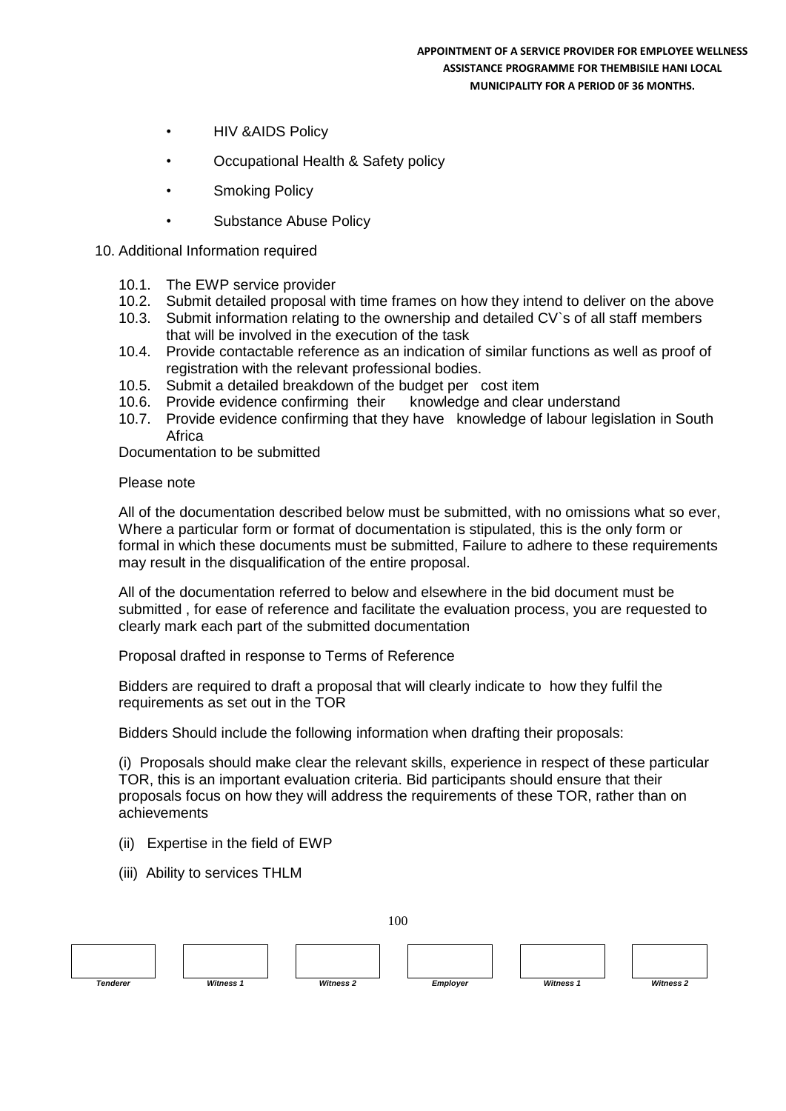- HIV &AIDS Policy
- Occupational Health & Safety policy
- **Smoking Policy**
- Substance Abuse Policy

### 10. Additional Information required

- 10.1. The EWP service provider
- 10.2. Submit detailed proposal with time frames on how they intend to deliver on the above
- 10.3. Submit information relating to the ownership and detailed CV`s of all staff members that will be involved in the execution of the task
- 10.4. Provide contactable reference as an indication of similar functions as well as proof of registration with the relevant professional bodies.
- 10.5. Submit a detailed breakdown of the budget per cost item
- 10.6. Provide evidence confirming their knowledge and clear understand
- 10.7. Provide evidence confirming that they have knowledge of labour legislation in South Africa

Documentation to be submitted

### Please note

All of the documentation described below must be submitted, with no omissions what so ever, Where a particular form or format of documentation is stipulated, this is the only form or formal in which these documents must be submitted, Failure to adhere to these requirements may result in the disqualification of the entire proposal.

All of the documentation referred to below and elsewhere in the bid document must be submitted , for ease of reference and facilitate the evaluation process, you are requested to clearly mark each part of the submitted documentation

Proposal drafted in response to Terms of Reference

Bidders are required to draft a proposal that will clearly indicate to how they fulfil the requirements as set out in the TOR

Bidders Should include the following information when drafting their proposals:

(i) Proposals should make clear the relevant skills, experience in respect of these particular TOR, this is an important evaluation criteria. Bid participants should ensure that their proposals focus on how they will address the requirements of these TOR, rather than on achievements

- (ii) Expertise in the field of EWP
- (iii) Ability to services THLM